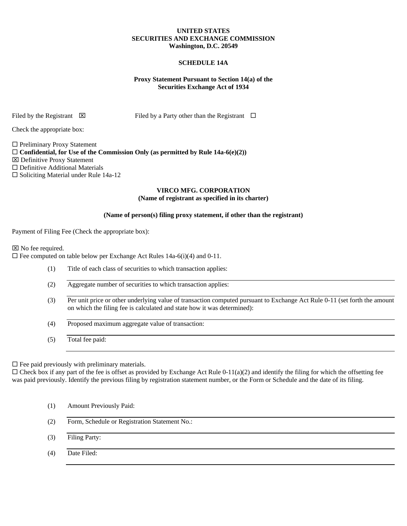## **UNITED STATES SECURITIES AND EXCHANGE COMMISSION Washington, D.C. 20549**

## **SCHEDULE 14A**

## **Proxy Statement Pursuant to Section 14(a) of the Securities Exchange Act of 1934**

Filed by the Registrant  $\boxtimes$  Filed by a Party other than the Registrant  $\Box$ 

Check the appropriate box:

 $\square$  Preliminary Proxy Statement  $\Box$  Confidential, for Use of the Commission Only (as permitted by Rule 14a-6(e)(2)) Definitive Proxy Statement □ Definitive Additional Materials  $\square$  Soliciting Material under Rule 14a-12

## **VIRCO MFG. CORPORATION (Name of registrant as specified in its charter)**

## **(Name of person(s) filing proxy statement, if other than the registrant)**

Payment of Filing Fee (Check the appropriate box):

⊠ No fee required.

 $\Box$  Fee computed on table below per Exchange Act Rules 14a-6(i)(4) and 0-11.

- (1) Title of each class of securities to which transaction applies:
- (2) Aggregate number of securities to which transaction applies:
- (3) Per unit price or other underlying value of transaction computed pursuant to Exchange Act Rule 0-11 (set forth the amount on which the filing fee is calculated and state how it was determined):
- (4) Proposed maximum aggregate value of transaction:
- (5) Total fee paid:

 $\square$  Fee paid previously with preliminary materials.

 $\Box$  Check box if any part of the fee is offset as provided by Exchange Act Rule 0-11(a)(2) and identify the filing for which the offsetting fee was paid previously. Identify the previous filing by registration statement number, or the Form or Schedule and the date of its filing.

- (1) Amount Previously Paid:
- (2) Form, Schedule or Registration Statement No.:
- (3) Filing Party:
- (4) Date Filed: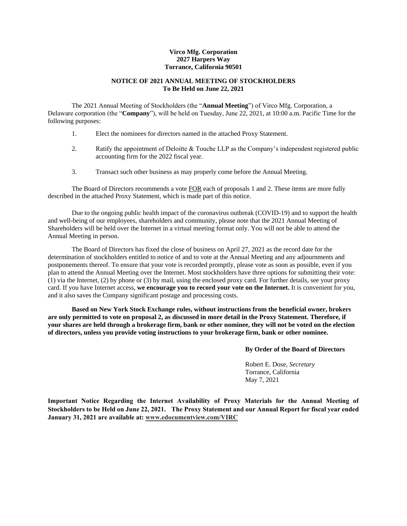## **Virco Mfg. Corporation 2027 Harpers Way Torrance, California 90501**

## **NOTICE OF 2021 ANNUAL MEETING OF STOCKHOLDERS To Be Held on June 22, 2021**

The 2021 Annual Meeting of Stockholders (the "**Annual Meeting**") of Virco Mfg. Corporation, a Delaware corporation (the "**Company**"), will be held on Tuesday, June 22, 2021, at 10:00 a.m. Pacific Time for the following purposes:

- 1. Elect the nominees for directors named in the attached Proxy Statement.
- 2. Ratify the appointment of Deloitte & Touche LLP as the Company's independent registered public accounting firm for the 2022 fiscal year.
- 3. Transact such other business as may properly come before the Annual Meeting.

The Board of Directors recommends a vote FOR each of proposals 1 and 2. These items are more fully described in the attached Proxy Statement, which is made part of this notice.

Due to the ongoing public health impact of the coronavirus outbreak (COVID-19) and to support the health and well-being of our employees, shareholders and community, please note that the 2021 Annual Meeting of Shareholders will be held over the Internet in a virtual meeting format only. You will not be able to attend the Annual Meeting in person.

The Board of Directors has fixed the close of business on April 27, 2021 as the record date for the determination of stockholders entitled to notice of and to vote at the Annual Meeting and any adjournments and postponements thereof. To ensure that your vote is recorded promptly, please vote as soon as possible, even if you plan to attend the Annual Meeting over the Internet. Most stockholders have three options for submitting their vote: (1) via the Internet, (2) by phone or (3) by mail, using the enclosed proxy card. For further details, see your proxy card. If you have Internet access, **we encourage you to record your vote on the Internet.** It is convenient for you, and it also saves the Company significant postage and processing costs.

**Based on New York Stock Exchange rules, without instructions from the beneficial owner, brokers are only permitted to vote on proposal 2, as discussed in more detail in the Proxy Statement. Therefore, if your shares are held through a brokerage firm, bank or other nominee, they will not be voted on the election of directors, unless you provide voting instructions to your brokerage firm, bank or other nominee.**

**By Order of the Board of Directors**

Robert E. Dose, *Secretary* Torrance, California May 7, 2021

**Important Notice Regarding the Internet Availability of Proxy Materials for the Annual Meeting of Stockholders to be Held on June 22, 2021. The Proxy Statement and our Annual Report for fiscal year ended January 31, 2021 are available at: www.edocumentview.com/VIRC**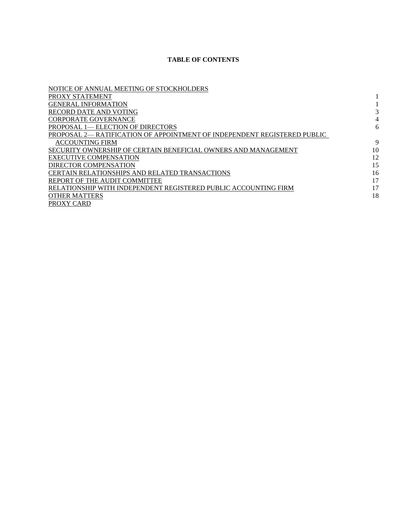# **TABLE OF CONTENTS**

| NOTICE OF ANNUAL MEETING OF STOCKHOLDERS                                 |    |
|--------------------------------------------------------------------------|----|
| PROXY STATEMENT                                                          |    |
| <b>GENERAL INFORMATION</b>                                               |    |
| RECORD DATE AND VOTING                                                   |    |
| <b>CORPORATE GOVERNANCE</b>                                              |    |
| PROPOSAL 1— ELECTION OF DIRECTORS                                        | 6  |
| PROPOSAL 2— RATIFICATION OF APPOINTMENT OF INDEPENDENT REGISTERED PUBLIC |    |
| <b>ACCOUNTING FIRM</b>                                                   | 9  |
| SECURITY OWNERSHIP OF CERTAIN BENEFICIAL OWNERS AND MANAGEMENT           | 10 |
| <b>EXECUTIVE COMPENSATION</b>                                            | 12 |
| DIRECTOR COMPENSATION                                                    | 15 |
| CERTAIN RELATIONSHIPS AND RELATED TRANSACTIONS                           | 16 |
| REPORT OF THE AUDIT COMMITTEE                                            | 17 |
| RELATIONSHIP WITH INDEPENDENT REGISTERED PUBLIC ACCOUNTING FIRM          | 17 |
| <b>OTHER MATTERS</b>                                                     | 18 |
| PROXY CARD                                                               |    |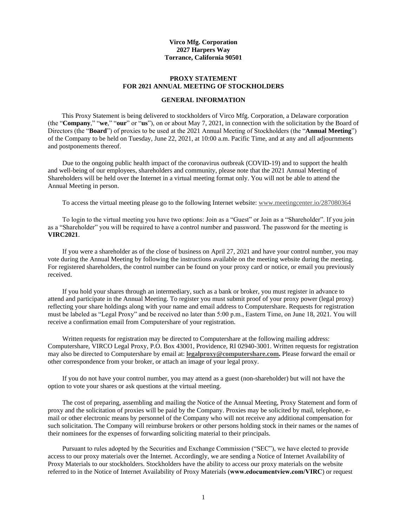## **Virco Mfg. Corporation 2027 Harpers Way Torrance, California 90501**

#### **PROXY STATEMENT FOR 2021 ANNUAL MEETING OF STOCKHOLDERS**

## **GENERAL INFORMATION**

This Proxy Statement is being delivered to stockholders of Virco Mfg. Corporation, a Delaware corporation (the "**Company**," "**we**," "**our**" or "**us**"), on or about May 7, 2021, in connection with the solicitation by the Board of Directors (the "**Board**") of proxies to be used at the 2021 Annual Meeting of Stockholders (the "**Annual Meeting**") of the Company to be held on Tuesday, June 22, 2021, at 10:00 a.m. Pacific Time, and at any and all adjournments and postponements thereof.

Due to the ongoing public health impact of the coronavirus outbreak (COVID-19) and to support the health and well-being of our employees, shareholders and community, please note that the 2021 Annual Meeting of Shareholders will be held over the Internet in a virtual meeting format only. You will not be able to attend the Annual Meeting in person.

To access the virtual meeting please go to the following Internet website: www.meetingcenter.io/287080364

To login to the virtual meeting you have two options: Join as a "Guest" or Join as a "Shareholder". If you join as a "Shareholder" you will be required to have a control number and password. The password for the meeting is **VIRC2021**.

If you were a shareholder as of the close of business on April 27, 2021 and have your control number, you may vote during the Annual Meeting by following the instructions available on the meeting website during the meeting. For registered shareholders, the control number can be found on your proxy card or notice, or email you previously received.

If you hold your shares through an intermediary, such as a bank or broker, you must register in advance to attend and participate in the Annual Meeting. To register you must submit proof of your proxy power (legal proxy) reflecting your share holdings along with your name and email address to Computershare. Requests for registration must be labeled as "Legal Proxy" and be received no later than 5:00 p.m., Eastern Time, on June 18, 2021. You will receive a confirmation email from Computershare of your registration.

Written requests for registration may be directed to Computershare at the following mailing address: Computershare, VIRCO Legal Proxy, P.O. Box 43001, Providence, RI 02940-3001. Written requests for registration may also be directed to Computershare by email at: **legalproxy@computershare.com.** Please forward the email or other correspondence from your broker, or attach an image of your legal proxy.

If you do not have your control number, you may attend as a guest (non-shareholder) but will not have the option to vote your shares or ask questions at the virtual meeting.

The cost of preparing, assembling and mailing the Notice of the Annual Meeting, Proxy Statement and form of proxy and the solicitation of proxies will be paid by the Company. Proxies may be solicited by mail, telephone, email or other electronic means by personnel of the Company who will not receive any additional compensation for such solicitation. The Company will reimburse brokers or other persons holding stock in their names or the names of their nominees for the expenses of forwarding soliciting material to their principals.

Pursuant to rules adopted by the Securities and Exchange Commission ("SEC"), we have elected to provide access to our proxy materials over the Internet. Accordingly, we are sending a Notice of Internet Availability of Proxy Materials to our stockholders. Stockholders have the ability to access our proxy materials on the website referred to in the Notice of Internet Availability of Proxy Materials (**www.edocumentview.com/VIRC**) or request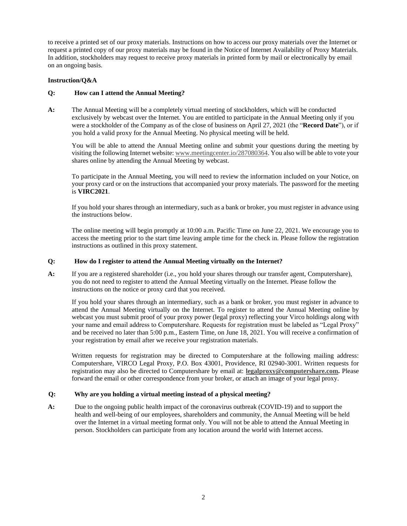to receive a printed set of our proxy materials. Instructions on how to access our proxy materials over the Internet or request a printed copy of our proxy materials may be found in the Notice of Internet Availability of Proxy Materials. In addition, stockholders may request to receive proxy materials in printed form by mail or electronically by email on an ongoing basis.

# **Instruction/Q&A**

# **Q: How can I attend the Annual Meeting?**

**A:** The Annual Meeting will be a completely virtual meeting of stockholders, which will be conducted exclusively by webcast over the Internet. You are entitled to participate in the Annual Meeting only if you were a stockholder of the Company as of the close of business on April 27, 2021 (the "**Record Date**"), or if you hold a valid proxy for the Annual Meeting. No physical meeting will be held.

You will be able to attend the Annual Meeting online and submit your questions during the meeting by visiting the following Internet website: www.meetingcenter.io/287080364. You also will be able to vote your shares online by attending the Annual Meeting by webcast.

To participate in the Annual Meeting, you will need to review the information included on your Notice, on your proxy card or on the instructions that accompanied your proxy materials. The password for the meeting is **VIRC2021**.

If you hold your shares through an intermediary, such as a bank or broker, you must register in advance using the instructions below.

The online meeting will begin promptly at 10:00 a.m. Pacific Time on June 22, 2021. We encourage you to access the meeting prior to the start time leaving ample time for the check in. Please follow the registration instructions as outlined in this proxy statement.

# **Q: How do I register to attend the Annual Meeting virtually on the Internet?**

**A:** If you are a registered shareholder (i.e., you hold your shares through our transfer agent, Computershare), you do not need to register to attend the Annual Meeting virtually on the Internet. Please follow the instructions on the notice or proxy card that you received.

If you hold your shares through an intermediary, such as a bank or broker, you must register in advance to attend the Annual Meeting virtually on the Internet. To register to attend the Annual Meeting online by webcast you must submit proof of your proxy power (legal proxy) reflecting your Virco holdings along with your name and email address to Computershare. Requests for registration must be labeled as "Legal Proxy" and be received no later than 5:00 p.m., Eastern Time, on June 18, 2021. You will receive a confirmation of your registration by email after we receive your registration materials.

Written requests for registration may be directed to Computershare at the following mailing address: Computershare, VIRCO Legal Proxy, P.O. Box 43001, Providence, RI 02940-3001. Written requests for registration may also be directed to Computershare by email at: **legalproxy@computershare.com.** Please forward the email or other correspondence from your broker, or attach an image of your legal proxy.

# **Q: Why are you holding a virtual meeting instead of a physical meeting?**

**A:** Due to the ongoing public health impact of the coronavirus outbreak (COVID-19) and to support the health and well-being of our employees, shareholders and community, the Annual Meeting will be held over the Internet in a virtual meeting format only. You will not be able to attend the Annual Meeting in person. Stockholders can participate from any location around the world with Internet access.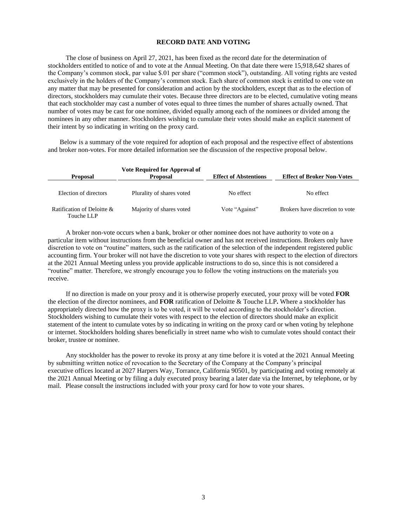#### **RECORD DATE AND VOTING**

The close of business on April 27, 2021, has been fixed as the record date for the determination of stockholders entitled to notice of and to vote at the Annual Meeting. On that date there were 15,918,642 shares of the Company's common stock, par value \$.01 per share ("common stock"), outstanding. All voting rights are vested exclusively in the holders of the Company's common stock. Each share of common stock is entitled to one vote on any matter that may be presented for consideration and action by the stockholders, except that as to the election of directors, stockholders may cumulate their votes. Because three directors are to be elected, cumulative voting means that each stockholder may cast a number of votes equal to three times the number of shares actually owned. That number of votes may be cast for one nominee, divided equally among each of the nominees or divided among the nominees in any other manner. Stockholders wishing to cumulate their votes should make an explicit statement of their intent by so indicating in writing on the proxy card.

Below is a summary of the vote required for adoption of each proposal and the respective effect of abstentions and broker non-votes. For more detailed information see the discussion of the respective proposal below.

| <b>Proposal</b>                          | Vote Required for Approval of<br><b>Proposal</b> | <b>Effect of Abstentions</b> | <b>Effect of Broker Non-Votes</b> |
|------------------------------------------|--------------------------------------------------|------------------------------|-----------------------------------|
| Election of directors                    | Plurality of shares voted                        | No effect                    | No effect                         |
| Ratification of Deloitte &<br>Touche LLP | Majority of shares voted                         | Vote "Against"               | Brokers have discretion to vote   |

A broker non-vote occurs when a bank, broker or other nominee does not have authority to vote on a particular item without instructions from the beneficial owner and has not received instructions. Brokers only have discretion to vote on "routine" matters, such as the ratification of the selection of the independent registered public accounting firm. Your broker will not have the discretion to vote your shares with respect to the election of directors at the 2021 Annual Meeting unless you provide applicable instructions to do so, since this is not considered a "routine" matter. Therefore, we strongly encourage you to follow the voting instructions on the materials you receive.

If no direction is made on your proxy and it is otherwise properly executed, your proxy will be voted **FOR** the election of the director nominees, and **FOR** ratification of Deloitte & Touche LLP**.** Where a stockholder has appropriately directed how the proxy is to be voted, it will be voted according to the stockholder's direction. Stockholders wishing to cumulate their votes with respect to the election of directors should make an explicit statement of the intent to cumulate votes by so indicating in writing on the proxy card or when voting by telephone or internet. Stockholders holding shares beneficially in street name who wish to cumulate votes should contact their broker, trustee or nominee.

Any stockholder has the power to revoke its proxy at any time before it is voted at the 2021 Annual Meeting by submitting written notice of revocation to the Secretary of the Company at the Company's principal executive offices located at 2027 Harpers Way, Torrance, California 90501, by participating and voting remotely at the 2021 Annual Meeting or by filing a duly executed proxy bearing a later date via the Internet, by telephone, or by mail. Please consult the instructions included with your proxy card for how to vote your shares.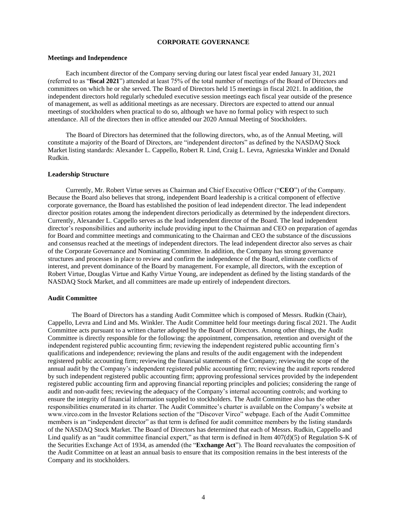#### **CORPORATE GOVERNANCE**

## **Meetings and Independence**

Each incumbent director of the Company serving during our latest fiscal year ended January 31, 2021 (referred to as "**fiscal 2021**") attended at least 75% of the total number of meetings of the Board of Directors and committees on which he or she served. The Board of Directors held 15 meetings in fiscal 2021. In addition, the independent directors hold regularly scheduled executive session meetings each fiscal year outside of the presence of management, as well as additional meetings as are necessary. Directors are expected to attend our annual meetings of stockholders when practical to do so, although we have no formal policy with respect to such attendance. All of the directors then in office attended our 2020 Annual Meeting of Stockholders.

The Board of Directors has determined that the following directors, who, as of the Annual Meeting, will constitute a majority of the Board of Directors, are "independent directors" as defined by the NASDAQ Stock Market listing standards: Alexander L. Cappello, Robert R. Lind, Craig L. Levra, Agnieszka Winkler and Donald Rudkin.

#### **Leadership Structure**

Currently, Mr. Robert Virtue serves as Chairman and Chief Executive Officer ("**CEO**") of the Company. Because the Board also believes that strong, independent Board leadership is a critical component of effective corporate governance, the Board has established the position of lead independent director. The lead independent director position rotates among the independent directors periodically as determined by the independent directors. Currently, Alexander L. Cappello serves as the lead independent director of the Board. The lead independent director's responsibilities and authority include providing input to the Chairman and CEO on preparation of agendas for Board and committee meetings and communicating to the Chairman and CEO the substance of the discussions and consensus reached at the meetings of independent directors. The lead independent director also serves as chair of the Corporate Governance and Nominating Committee. In addition, the Company has strong governance structures and processes in place to review and confirm the independence of the Board, eliminate conflicts of interest, and prevent dominance of the Board by management. For example, all directors, with the exception of Robert Virtue, Douglas Virtue and Kathy Virtue Young, are independent as defined by the listing standards of the NASDAQ Stock Market, and all committees are made up entirely of independent directors.

#### **Audit Committee**

The Board of Directors has a standing Audit Committee which is composed of Messrs. Rudkin (Chair), Cappello, Levra and Lind and Ms. Winkler. The Audit Committee held four meetings during fiscal 2021. The Audit Committee acts pursuant to a written charter adopted by the Board of Directors. Among other things, the Audit Committee is directly responsible for the following: the appointment, compensation, retention and oversight of the independent registered public accounting firm; reviewing the independent registered public accounting firm's qualifications and independence; reviewing the plans and results of the audit engagement with the independent registered public accounting firm; reviewing the financial statements of the Company; reviewing the scope of the annual audit by the Company's independent registered public accounting firm; reviewing the audit reports rendered by such independent registered public accounting firm; approving professional services provided by the independent registered public accounting firm and approving financial reporting principles and policies; considering the range of audit and non-audit fees; reviewing the adequacy of the Company's internal accounting controls; and working to ensure the integrity of financial information supplied to stockholders. The Audit Committee also has the other responsibilities enumerated in its charter. The Audit Committee's charter is available on the Company's website at www.virco.com in the Investor Relations section of the "Discover Virco" webpage. Each of the Audit Committee members is an "independent director" as that term is defined for audit committee members by the listing standards of the NASDAQ Stock Market. The Board of Directors has determined that each of Messrs. Rudkin, Cappello and Lind qualify as an "audit committee financial expert," as that term is defined in Item  $407(d)(5)$  of Regulation S-K of the Securities Exchange Act of 1934, as amended (the "**Exchange Act**"). The Board reevaluates the composition of the Audit Committee on at least an annual basis to ensure that its composition remains in the best interests of the Company and its stockholders.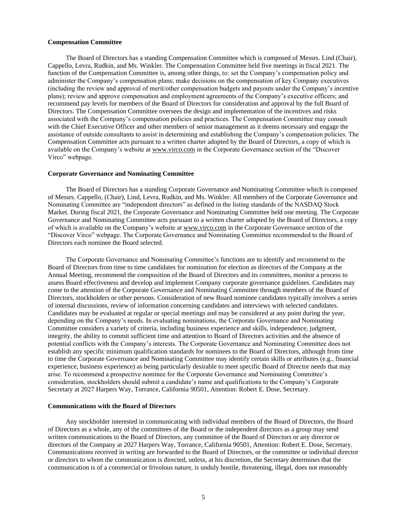#### **Compensation Committee**

The Board of Directors has a standing Compensation Committee which is composed of Messrs. Lind (Chair), Cappello, Levra, Rudkin, and Ms. Winkler. The Compensation Committee held five meetings in fiscal 2021. The function of the Compensation Committee is, among other things, to: set the Company's compensation policy and administer the Company's compensation plans; make decisions on the compensation of key Company executives (including the review and approval of merit/other compensation budgets and payouts under the Company's incentive plans); review and approve compensation and employment agreements of the Company's executive officers; and recommend pay levels for members of the Board of Directors for consideration and approval by the full Board of Directors. The Compensation Committee oversees the design and implementation of the incentives and risks associated with the Company's compensation policies and practices. The Compensation Committee may consult with the Chief Executive Officer and other members of senior management as it deems necessary and engage the assistance of outside consultants to assist in determining and establishing the Company's compensation policies. The Compensation Committee acts pursuant to a written charter adopted by the Board of Directors, a copy of which is available on the Company's website at www.virco.com in the Corporate Governance section of the "Discover Virco" webpage.

#### **Corporate Governance and Nominating Committee**

The Board of Directors has a standing Corporate Governance and Nominating Committee which is composed of Messrs. Cappello, (Chair), Lind, Levra, Rudkin, and Ms. Winkler. All members of the Corporate Governance and Nominating Committee are "independent directors" as defined in the listing standards of the NASDAQ Stock Market. During fiscal 2021, the Corporate Governance and Nominating Committee held one meeting. The Corporate Governance and Nominating Committee acts pursuant to a written charter adopted by the Board of Directors, a copy of which is available on the Company's website at www.virco.com in the Corporate Governance section of the "Discover Virco" webpage. The Corporate Governance and Nominating Committee recommended to the Board of Directors each nominee the Board selected.

The Corporate Governance and Nominating Committee's functions are to identify and recommend to the Board of Directors from time to time candidates for nomination for election as directors of the Company at the Annual Meeting, recommend the composition of the Board of Directors and its committees, monitor a process to assess Board effectiveness and develop and implement Company corporate governance guidelines. Candidates may come to the attention of the Corporate Governance and Nominating Committee through members of the Board of Directors, stockholders or other persons. Consideration of new Board nominee candidates typically involves a series of internal discussions, review of information concerning candidates and interviews with selected candidates. Candidates may be evaluated at regular or special meetings and may be considered at any point during the year, depending on the Company's needs. In evaluating nominations, the Corporate Governance and Nominating Committee considers a variety of criteria, including business experience and skills, independence, judgment, integrity, the ability to commit sufficient time and attention to Board of Directors activities and the absence of potential conflicts with the Company's interests. The Corporate Governance and Nominating Committee does not establish any specific minimum qualification standards for nominees to the Board of Directors, although from time to time the Corporate Governance and Nominating Committee may identify certain skills or attributes (e.g.*,* financial experience, business experience) as being particularly desirable to meet specific Board of Director needs that may arise. To recommend a prospective nominee for the Corporate Governance and Nominating Committee's consideration, stockholders should submit a candidate's name and qualifications to the Company's Corporate Secretary at 2027 Harpers Way, Torrance, California 90501, Attention: Robert E. Dose, Secretary.

## **Communications with the Board of Directors**

Any stockholder interested in communicating with individual members of the Board of Directors, the Board of Directors as a whole, any of the committees of the Board or the independent directors as a group may send written communications to the Board of Directors, any committee of the Board of Directors or any director or directors of the Company at 2027 Harpers Way, Torrance, California 90501, Attention: Robert E. Dose, Secretary. Communications received in writing are forwarded to the Board of Directors, or the committee or individual director or directors to whom the communication is directed, unless, at his discretion, the Secretary determines that the communication is of a commercial or frivolous nature, is unduly hostile, threatening, illegal, does not reasonably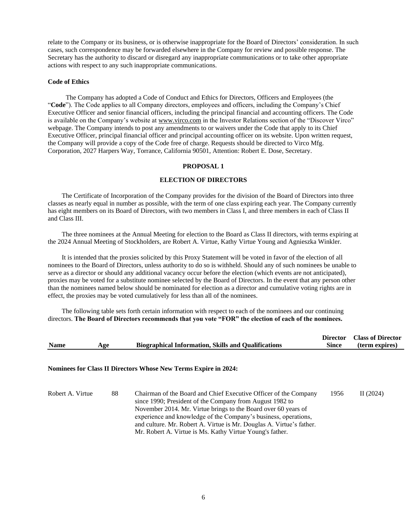relate to the Company or its business, or is otherwise inappropriate for the Board of Directors' consideration. In such cases, such correspondence may be forwarded elsewhere in the Company for review and possible response. The Secretary has the authority to discard or disregard any inappropriate communications or to take other appropriate actions with respect to any such inappropriate communications.

## **Code of Ethics**

The Company has adopted a Code of Conduct and Ethics for Directors, Officers and Employees (the "**Code**"). The Code applies to all Company directors, employees and officers, including the Company's Chief Executive Officer and senior financial officers, including the principal financial and accounting officers. The Code is available on the Company's website at www.virco.com in the Investor Relations section of the "Discover Virco" webpage. The Company intends to post any amendments to or waivers under the Code that apply to its Chief Executive Officer, principal financial officer and principal accounting officer on its website. Upon written request, the Company will provide a copy of the Code free of charge. Requests should be directed to Virco Mfg. Corporation, 2027 Harpers Way, Torrance, California 90501, Attention: Robert E. Dose, Secretary.

#### **PROPOSAL 1**

#### **ELECTION OF DIRECTORS**

The Certificate of Incorporation of the Company provides for the division of the Board of Directors into three classes as nearly equal in number as possible, with the term of one class expiring each year. The Company currently has eight members on its Board of Directors, with two members in Class I, and three members in each of Class II and Class III.

The three nominees at the Annual Meeting for election to the Board as Class II directors, with terms expiring at the 2024 Annual Meeting of Stockholders, are Robert A. Virtue, Kathy Virtue Young and Agnieszka Winkler.

It is intended that the proxies solicited by this Proxy Statement will be voted in favor of the election of all nominees to the Board of Directors, unless authority to do so is withheld. Should any of such nominees be unable to serve as a director or should any additional vacancy occur before the election (which events are not anticipated), proxies may be voted for a substitute nominee selected by the Board of Directors. In the event that any person other than the nominees named below should be nominated for election as a director and cumulative voting rights are in effect, the proxies may be voted cumulatively for less than all of the nominees.

The following table sets forth certain information with respect to each of the nominees and our continuing directors. **The Board of Directors recommends that you vote "FOR" the election of each of the nominees.**

| <b>Name</b>      | Age | <b>Biographical Information, Skills and Qualifications</b>                                                                           | <b>Director</b><br><b>Since</b> | <b>Class of Director</b><br>(term expires) |
|------------------|-----|--------------------------------------------------------------------------------------------------------------------------------------|---------------------------------|--------------------------------------------|
|                  |     | <b>Nominees for Class II Directors Whose New Terms Expire in 2024:</b>                                                               |                                 |                                            |
| Robert A. Virtue | 88  | Chairman of the Board and Chief Executive Officer of the Company<br>$\frac{1000}{1000}$ President of the Company from August 1082 to | 1956                            | II $(2024)$                                |

since 1990; President of the Company from August 1982 to November 2014. Mr. Virtue brings to the Board over 60 years of experience and knowledge of the Company's business, operations, and culture. Mr. Robert A. Virtue is Mr. Douglas A. Virtue's father. Mr. Robert A. Virtue is Ms. Kathy Virtue Young's father.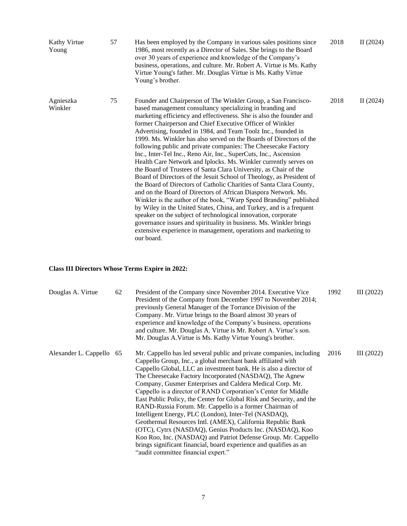| Kathy Virtue<br>Young | 57 | Has been employed by the Company in various sales positions since<br>1986, most recently as a Director of Sales. She brings to the Board<br>over 30 years of experience and knowledge of the Company's<br>business, operations, and culture. Mr. Robert A. Virtue is Ms. Kathy<br>Virtue Young's father. Mr. Douglas Virtue is Ms. Kathy Virtue<br>Young's brother.                                                                                                                                                                                                                                                                                                                                                                                                                                                                                                                                                                                                                                                                                                                                                                                                                                                                                                         | 2018 | II $(2024)$ |
|-----------------------|----|-----------------------------------------------------------------------------------------------------------------------------------------------------------------------------------------------------------------------------------------------------------------------------------------------------------------------------------------------------------------------------------------------------------------------------------------------------------------------------------------------------------------------------------------------------------------------------------------------------------------------------------------------------------------------------------------------------------------------------------------------------------------------------------------------------------------------------------------------------------------------------------------------------------------------------------------------------------------------------------------------------------------------------------------------------------------------------------------------------------------------------------------------------------------------------------------------------------------------------------------------------------------------------|------|-------------|
| Agnieszka<br>Winkler  | 75 | Founder and Chairperson of The Winkler Group, a San Francisco-<br>based management consultancy specializing in branding and<br>marketing efficiency and effectiveness. She is also the founder and<br>former Chairperson and Chief Executive Officer of Winkler<br>Advertising, founded in 1984, and Team Toolz Inc., founded in<br>1999. Ms. Winkler has also served on the Boards of Directors of the<br>following public and private companies: The Cheesecake Factory<br>Inc., Inter-Tel Inc., Reno Air, Inc., SuperCuts, Inc., Ascension<br>Health Care Network and Iplocks. Ms. Winkler currently serves on<br>the Board of Trustees of Santa Clara University, as Chair of the<br>Board of Directors of the Jesuit School of Theology, as President of<br>the Board of Directors of Catholic Charities of Santa Clara County,<br>and on the Board of Directors of African Diaspora Network. Ms.<br>Winkler is the author of the book, "Warp Speed Branding" published<br>by Wiley in the United States, China, and Turkey, and is a frequent<br>speaker on the subject of technological innovation, corporate<br>governance issues and spirituality in business. Ms. Winkler brings<br>extensive experience in management, operations and marketing to<br>our board. | 2018 | II $(2024)$ |

# **Class III Directors Whose Terms Expire in 2022:**

| Douglas A. Virtue        | 62 | President of the Company since November 2014. Executive Vice<br>President of the Company from December 1997 to November 2014;<br>previously General Manager of the Torrance Division of the<br>Company. Mr. Virtue brings to the Board almost 30 years of<br>experience and knowledge of the Company's business, operations<br>and culture. Mr. Douglas A. Virtue is Mr. Robert A. Virtue's son.<br>Mr. Douglas A. Virtue is Ms. Kathy Virtue Young's brother.                                                                                                                                                                                                                                                                                                                                                                                                                                             | 1992 | III (2022) |
|--------------------------|----|------------------------------------------------------------------------------------------------------------------------------------------------------------------------------------------------------------------------------------------------------------------------------------------------------------------------------------------------------------------------------------------------------------------------------------------------------------------------------------------------------------------------------------------------------------------------------------------------------------------------------------------------------------------------------------------------------------------------------------------------------------------------------------------------------------------------------------------------------------------------------------------------------------|------|------------|
| Alexander L. Cappello 65 |    | Mr. Cappello has led several public and private companies, including<br>Cappello Group, Inc., a global merchant bank affiliated with<br>Cappello Global, LLC an investment bank. He is also a director of<br>The Cheesecake Factory Incorporated (NASDAQ), The Agnew<br>Company, Gusmer Enterprises and Caldera Medical Corp. Mr.<br>Cappello is a director of RAND Corporation's Center for Middle<br>East Public Policy, the Center for Global Risk and Security, and the<br>RAND-Russia Forum. Mr. Cappello is a former Chairman of<br>Intelligent Energy, PLC (London), Inter-Tel (NASDAQ),<br>Geothermal Resources Intl. (AMEX), California Republic Bank<br>(OTC), Cytrx (NASDAQ), Genius Products Inc. (NASDAQ), Koo<br>Koo Roo, Inc. (NASDAQ) and Patriot Defense Group. Mr. Cappello<br>brings significant financial, board experience and qualifies as an<br>"audit committee financial expert." | 2016 | III (2022) |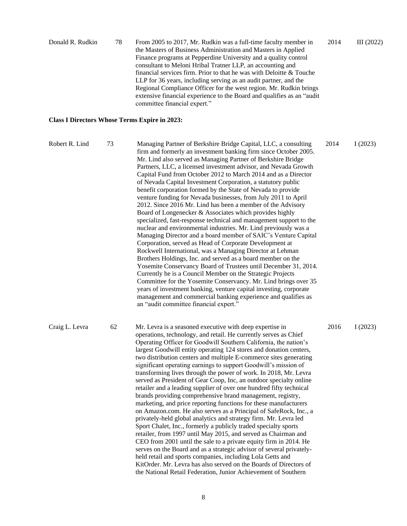| Donald R. Rudkin<br>78 | From 2005 to 2017, Mr. Rudkin was a full-time faculty member in         | 2014 | III (2022) |
|------------------------|-------------------------------------------------------------------------|------|------------|
|                        | the Masters of Business Administration and Masters in Applied           |      |            |
|                        | Finance programs at Pepperdine University and a quality control         |      |            |
|                        | consultant to Meloni Hribal Tratner LLP, an accounting and              |      |            |
|                        | financial services firm. Prior to that he was with Deloitte & Touche    |      |            |
|                        | LLP for 36 years, including serving as an audit partner, and the        |      |            |
|                        | Regional Compliance Officer for the west region. Mr. Rudkin brings      |      |            |
|                        | extensive financial experience to the Board and qualifies as an "audit" |      |            |
|                        | committee financial expert."                                            |      |            |

# **Class I Directors Whose Terms Expire in 2023:**

| Robert R. Lind | 73 | Managing Partner of Berkshire Bridge Capital, LLC, a consulting<br>firm and formerly an investment banking firm since October 2005.<br>Mr. Lind also served as Managing Partner of Berkshire Bridge<br>Partners, LLC, a licensed investment advisor, and Nevada Growth<br>Capital Fund from October 2012 to March 2014 and as a Director<br>of Nevada Capital Investment Corporation, a statutory public<br>benefit corporation formed by the State of Nevada to provide<br>venture funding for Nevada businesses, from July 2011 to April<br>2012. Since 2016 Mr. Lind has been a member of the Advisory<br>Board of Longenecker & Associates which provides highly<br>specialized, fast-response technical and management support to the<br>nuclear and environmental industries. Mr. Lind previously was a<br>Managing Director and a board member of SAIC's Venture Capital<br>Corporation, served as Head of Corporate Development at<br>Rockwell International, was a Managing Director at Lehman<br>Brothers Holdings, Inc. and served as a board member on the<br>Yosemite Conservancy Board of Trustees until December 31, 2014.<br>Currently he is a Council Member on the Strategic Projects<br>Committee for the Yosemite Conservancy. Mr. Lind brings over 35<br>years of investment banking, venture capital investing, corporate<br>management and commercial banking experience and qualifies as<br>an "audit committee financial expert." | 2014 | I(2023) |
|----------------|----|------------------------------------------------------------------------------------------------------------------------------------------------------------------------------------------------------------------------------------------------------------------------------------------------------------------------------------------------------------------------------------------------------------------------------------------------------------------------------------------------------------------------------------------------------------------------------------------------------------------------------------------------------------------------------------------------------------------------------------------------------------------------------------------------------------------------------------------------------------------------------------------------------------------------------------------------------------------------------------------------------------------------------------------------------------------------------------------------------------------------------------------------------------------------------------------------------------------------------------------------------------------------------------------------------------------------------------------------------------------------------------------------------------------------------------------------------------|------|---------|
| Craig L. Levra | 62 | Mr. Levra is a seasoned executive with deep expertise in<br>operations, technology, and retail. He currently serves as Chief<br>Operating Officer for Goodwill Southern California, the nation's<br>largest Goodwill entity operating 124 stores and donation centers,<br>two distribution centers and multiple E-commerce sites generating<br>significant operating earnings to support Goodwill's mission of<br>transforming lives through the power of work. In 2018, Mr. Levra<br>served as President of Gear Coop, Inc, an outdoor specialty online<br>retailer and a leading supplier of over one hundred fifty technical<br>brands providing comprehensive brand management, registry,<br>marketing, and price reporting functions for these manufacturers<br>on Amazon.com. He also serves as a Principal of SafeRock, Inc., a<br>privately-held global analytics and strategy firm. Mr. Levra led<br>Sport Chalet, Inc., formerly a publicly traded specialty sports<br>retailer, from 1997 until May 2015, and served as Chairman and<br>CEO from 2001 until the sale to a private equity firm in 2014. He<br>serves on the Board and as a strategic advisor of several privately-<br>held retail and sports companies, including Lola Getts and<br>KitOrder. Mr. Levra has also served on the Boards of Directors of<br>the National Retail Federation, Junior Achievement of Southern                                                          | 2016 | I(2023) |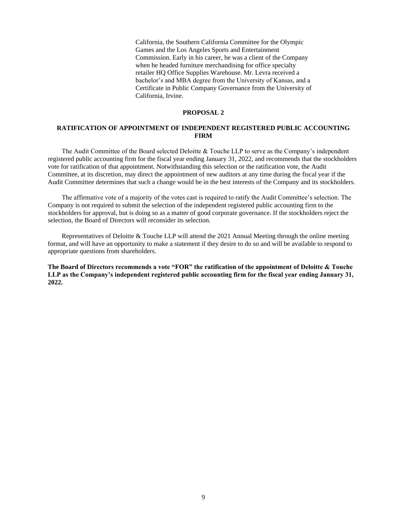California, the Southern California Committee for the Olympic Games and the Los Angeles Sports and Entertainment Commission. Early in his career, he was a client of the Company when he headed furniture merchandising for office specialty retailer HQ Office Supplies Warehouse. Mr. Levra received a bachelor's and MBA degree from the University of Kansas, and a Certificate in Public Company Governance from the University of California, Irvine.

#### **PROPOSAL 2**

## **RATIFICATION OF APPOINTMENT OF INDEPENDENT REGISTERED PUBLIC ACCOUNTING FIRM**

The Audit Committee of the Board selected Deloitte & Touche LLP to serve as the Company's independent registered public accounting firm for the fiscal year ending January 31, 2022, and recommends that the stockholders vote for ratification of that appointment. Notwithstanding this selection or the ratification vote, the Audit Committee, at its discretion, may direct the appointment of new auditors at any time during the fiscal year if the Audit Committee determines that such a change would be in the best interests of the Company and its stockholders.

The affirmative vote of a majority of the votes cast is required to ratify the Audit Committee's selection. The Company is not required to submit the selection of the independent registered public accounting firm to the stockholders for approval, but is doing so as a matter of good corporate governance. If the stockholders reject the selection, the Board of Directors will reconsider its selection.

Representatives of Deloitte & Touche LLP will attend the 2021 Annual Meeting through the online meeting format, and will have an opportunity to make a statement if they desire to do so and will be available to respond to appropriate questions from shareholders.

**The Board of Directors recommends a vote "FOR" the ratification of the appointment of Deloitte & Touche LLP as the Company's independent registered public accounting firm for the fiscal year ending January 31, 2022.**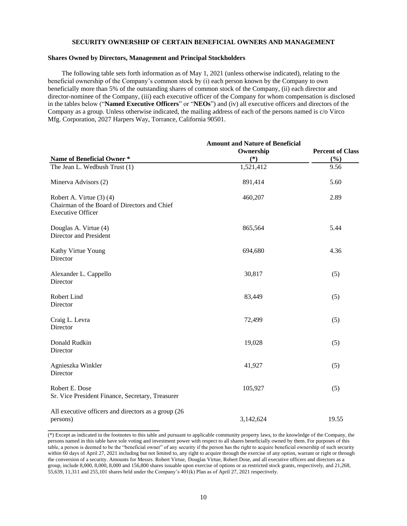#### **SECURITY OWNERSHIP OF CERTAIN BENEFICIAL OWNERS AND MANAGEMENT**

## **Shares Owned by Directors, Management and Principal Stockholders**

The following table sets forth information as of May 1, 2021 (unless otherwise indicated), relating to the beneficial ownership of the Company's common stock by (i) each person known by the Company to own beneficially more than 5% of the outstanding shares of common stock of the Company, (ii) each director and director-nominee of the Company, (iii) each executive officer of the Company for whom compensation is disclosed in the tables below ("**Named Executive Officers**" or "**NEOs**") and (iv) all executive officers and directors of the Company as a group. Unless otherwise indicated, the mailing address of each of the persons named is c/o Virco Mfg. Corporation, 2027 Harpers Way, Torrance, California 90501.

|                                                                                                      | <b>Amount and Nature of Beneficial</b><br>Ownership | <b>Percent of Class</b> |
|------------------------------------------------------------------------------------------------------|-----------------------------------------------------|-------------------------|
| Name of Beneficial Owner*                                                                            | $(*)$                                               | (%)                     |
| The Jean L. Wedbush Trust (1)                                                                        | 1,521,412                                           | 9.56                    |
| Minerva Advisors (2)                                                                                 | 891,414                                             | 5.60                    |
| Robert A. Virtue (3) (4)<br>Chairman of the Board of Directors and Chief<br><b>Executive Officer</b> | 460,207                                             | 2.89                    |
| Douglas A. Virtue (4)<br>Director and President                                                      | 865,564                                             | 5.44                    |
| Kathy Virtue Young<br>Director                                                                       | 694,680                                             | 4.36                    |
| Alexander L. Cappello<br>Director                                                                    | 30,817                                              | (5)                     |
| Robert Lind<br>Director                                                                              | 83,449                                              | (5)                     |
| Craig L. Levra<br>Director                                                                           | 72,499                                              | (5)                     |
| Donald Rudkin<br>Director                                                                            | 19,028                                              | (5)                     |
| Agnieszka Winkler<br>Director                                                                        | 41,927                                              | (5)                     |
| Robert E. Dose<br>Sr. Vice President Finance, Secretary, Treasurer                                   | 105,927                                             | (5)                     |
| All executive officers and directors as a group (26<br>persons)                                      | 3,142,624                                           | 19.55                   |

<sup>(\*)</sup> Except as indicated in the footnotes to this table and pursuant to applicable community property laws, to the knowledge of the Company, the persons named in this table have sole voting and investment power with respect to all shares beneficially owned by them. For purposes of this table, a person is deemed to be the "beneficial owner" of any security if the person has the right to acquire beneficial ownership of such security within 60 days of April 27, 2021 including but not limited to, any right to acquire through the exercise of any option, warrant or right or through the conversion of a security. Amounts for Messrs. Robert Virtue, Douglas Virtue, Robert Dose, and all executive officers and directors as a group, include 8,000, 8,000, 8,000 and 156,800 shares issuable upon exercise of options or as restricted stock grants, respectively, and 21,268, 55,639, 11,311 and 255,101 shares held under the Company's 401(k) Plan as of April 27, 2021 respectively.

**\_\_\_\_\_\_\_\_\_\_\_\_\_\_\_\_\_\_\_\_\_\_\_\_\_\_\_\_**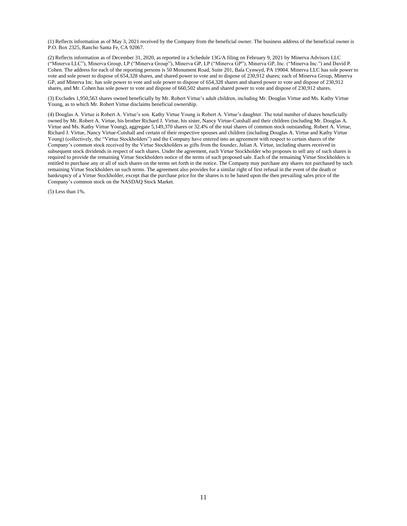(1) Reflects information as of May 3, 2021 received by the Company from the beneficial owner. The business address of the beneficial owner is P.O. Box 2325, Rancho Santa Fe, CA 92067.

(2) Reflects information as of December 31, 2020, as reported in a Schedule 13G/A filing on February 9, 2021 by Minerva Advisors LLC ("Minerva LLC"), Minerva Group, LP ("Minerva Group"), Minerva GP, LP ("Minerva GP"), Minerva GP, Inc. ("Minerva Inc.") and David P. Cohen. The address for each of the reporting persons is 50 Monument Road, Suite 201, Bala Cynwyd, PA 19004. Minerva LLC has sole power to vote and sole power to dispose of 654,328 shares, and shared power to vote and to dispose of 230,912 shares; each of Minerva Group, Minerva GP, and Minerva Inc. has sole power to vote and sole power to dispose of 654,328 shares and shared power to vote and dispose of 230,912 shares, and Mr. Cohen has sole power to vote and dispose of 660,502 shares and shared power to vote and dispose of 230,912 shares.

(3) Excludes 1,950,563 shares owned beneficially by Mr. Robert Virtue's adult children, including Mr. Douglas Virtue and Ms. Kathy Virtue Young, as to which Mr. Robert Virtue disclaims beneficial ownership.

(4) Douglas A. Virtue is Robert A. Virtue's son. Kathy Virtue Young is Robert A. Virtue's daughter. The total number of shares beneficially owned by Mr. Robert A. Virtue, his brother Richard J. Virtue, his sister, Nancy Virtue-Cutshall and their children (including Mr. Douglas A. Virtue and Ms. Kathy Virtue Young), aggregate 5,149,370 shares or 32.4% of the total shares of common stock outstanding. Robert A. Virtue, Richard J. Virtue, Nancy Virtue-Cutshall and certain of their respective spouses and children (including Douglas A. Virtue and Kathy Virtue Young) (collectively, the "Virtue Stockholders") and the Company have entered into an agreement with respect to certain shares of the Company's common stock received by the Virtue Stockholders as gifts from the founder, Julian A. Virtue, including shares received in subsequent stock dividends in respect of such shares. Under the agreement, each Virtue Stockholder who proposes to sell any of such shares is required to provide the remaining Virtue Stockholders notice of the terms of such proposed sale. Each of the remaining Virtue Stockholders is entitled to purchase any or all of such shares on the terms set forth in the notice. The Company may purchase any shares not purchased by such remaining Virtue Stockholders on such terms. The agreement also provides for a similar right of first refusal in the event of the death or bankruptcy of a Virtue Stockholder, except that the purchase price for the shares is to be based upon the then prevailing sales price of the Company's common stock on the NASDAQ Stock Market.

(5) Less than 1%.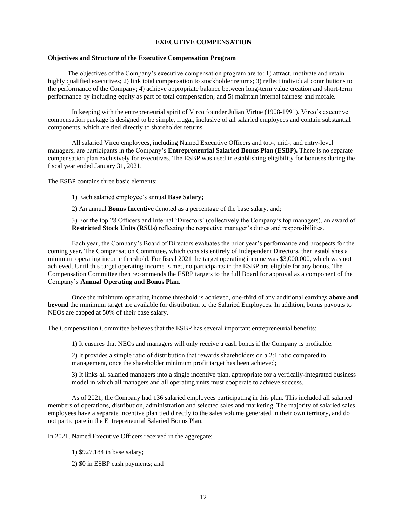## **EXECUTIVE COMPENSATION**

## **Objectives and Structure of the Executive Compensation Program**

The objectives of the Company's executive compensation program are to: 1) attract, motivate and retain highly qualified executives; 2) link total compensation to stockholder returns; 3) reflect individual contributions to the performance of the Company; 4) achieve appropriate balance between long-term value creation and short-term performance by including equity as part of total compensation; and 5) maintain internal fairness and morale.

In keeping with the entrepreneurial spirit of Virco founder Julian Virtue (1908-1991), Virco's executive compensation package is designed to be simple, frugal, inclusive of all salaried employees and contain substantial components, which are tied directly to shareholder returns.

All salaried Virco employees, including Named Executive Officers and top-, mid-, and entry-level managers, are participants in the Company's **Entrepreneurial Salaried Bonus Plan (ESBP).** There is no separate compensation plan exclusively for executives. The ESBP was used in establishing eligibility for bonuses during the fiscal year ended January 31, 2021.

The ESBP contains three basic elements:

1) Each salaried employee's annual **Base Salary;**

2) An annual **Bonus Incentive** denoted as a percentage of the base salary, and;

3) For the top 28 Officers and Internal 'Directors' (collectively the Company's top managers), an award of **Restricted Stock Units (RSUs)** reflecting the respective manager's duties and responsibilities.

Each year, the Company's Board of Directors evaluates the prior year's performance and prospects for the coming year. The Compensation Committee, which consists entirely of Independent Directors, then establishes a minimum operating income threshold. For fiscal 2021 the target operating income was \$3,000,000, which was not achieved. Until this target operating income is met, no participants in the ESBP are eligible for any bonus. The Compensation Committee then recommends the ESBP targets to the full Board for approval as a component of the Company's **Annual Operating and Bonus Plan.**

Once the minimum operating income threshold is achieved, one-third of any additional earnings **above and beyond** the minimum target are available for distribution to the Salaried Employees. In addition, bonus payouts to NEOs are capped at 50% of their base salary.

The Compensation Committee believes that the ESBP has several important entrepreneurial benefits:

1) It ensures that NEOs and managers will only receive a cash bonus if the Company is profitable.

2) It provides a simple ratio of distribution that rewards shareholders on a 2:1 ratio compared to management, once the shareholder minimum profit target has been achieved;

3) It links all salaried managers into a single incentive plan, appropriate for a vertically-integrated business model in which all managers and all operating units must cooperate to achieve success.

As of 2021, the Company had 136 salaried employees participating in this plan. This included all salaried members of operations, distribution, administration and selected sales and marketing. The majority of salaried sales employees have a separate incentive plan tied directly to the sales volume generated in their own territory, and do not participate in the Entrepreneurial Salaried Bonus Plan.

In 2021, Named Executive Officers received in the aggregate:

- 1) \$927,184 in base salary;
- 2) \$0 in ESBP cash payments; and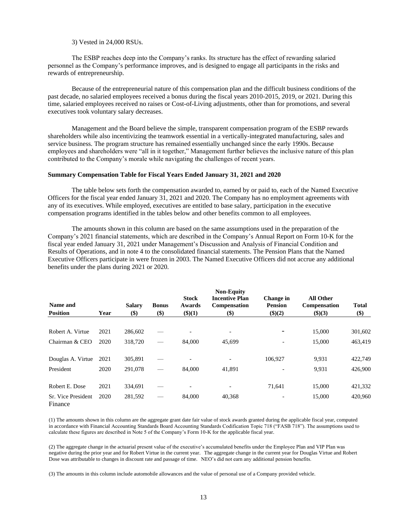#### 3) Vested in 24,000 RSUs.

The ESBP reaches deep into the Company's ranks. Its structure has the effect of rewarding salaried personnel as the Company's performance improves, and is designed to engage all participants in the risks and rewards of entrepreneurship.

Because of the entrepreneurial nature of this compensation plan and the difficult business conditions of the past decade, no salaried employees received a bonus during the fiscal years 2010-2015, 2019, or 2021. During this time, salaried employees received no raises or Cost-of-Living adjustments, other than for promotions, and several executives took voluntary salary decreases.

Management and the Board believe the simple, transparent compensation program of the ESBP rewards shareholders while also incentivizing the teamwork essential in a vertically-integrated manufacturing, sales and service business. The program structure has remained essentially unchanged since the early 1990s. Because employees and shareholders were "all in it together," Management further believes the inclusive nature of this plan contributed to the Company's morale while navigating the challenges of recent years.

## **Summary Compensation Table for Fiscal Years Ended January 31, 2021 and 2020**

The table below sets forth the compensation awarded to, earned by or paid to, each of the Named Executive Officers for the fiscal year ended January 31, 2021 and 2020. The Company has no employment agreements with any of its executives. While employed, executives are entitled to base salary, participation in the executive compensation programs identified in the tables below and other benefits common to all employees.

The amounts shown in this column are based on the same assumptions used in the preparation of the Company's 2021 financial statements, which are described in the Company's Annual Report on Form 10-K for the fiscal year ended January 31, 2021 under Management's Discussion and Analysis of Financial Condition and Results of Operations, and in note 4 to the consolidated financial statements. The Pension Plans that the Named Executive Officers participate in were frozen in 2003. The Named Executive Officers did not accrue any additional benefits under the plans during 2021 or 2020.

| Name and                      |      | <b>Salary</b> | <b>Bonus</b> | <b>Stock</b><br>Awards   | <b>Non-Equity</b><br><b>Incentive Plan</b><br>Compensation | Change in<br><b>Pension</b> | <b>All Other</b><br><b>Compensation</b> | <b>Total</b> |
|-------------------------------|------|---------------|--------------|--------------------------|------------------------------------------------------------|-----------------------------|-----------------------------------------|--------------|
| <b>Position</b>               | Year | \$)           | \$)          | \$)(1)                   | \$)                                                        | \$)(2)                      | \$)(3)                                  | \$)          |
| Robert A. Virtue              | 2021 | 286,602       |              |                          |                                                            |                             | 15,000                                  | 301,602      |
| Chairman & CEO                | 2020 | 318,720       |              | 84.000                   | 45,699                                                     | $\overline{\phantom{0}}$    | 15,000                                  | 463,419      |
| Douglas A. Virtue             | 2021 | 305,891       |              |                          |                                                            | 106,927                     | 9.931                                   | 422,749      |
| President                     | 2020 | 291,078       |              | 84,000                   | 41,891                                                     | $\overline{\phantom{a}}$    | 9.931                                   | 426,900      |
| Robert E. Dose                | 2021 | 334,691       |              | $\overline{\phantom{0}}$ |                                                            | 71,641                      | 15,000                                  | 421,332      |
| Sr. Vice President<br>Finance | 2020 | 281,592       |              | 84,000                   | 40,368                                                     |                             | 15,000                                  | 420,960      |

(1) The amounts shown in this column are the aggregate grant date fair value of stock awards granted during the applicable fiscal year, computed in accordance with Financial Accounting Standards Board Accounting Standards Codification Topic 718 ("FASB 718"). The assumptions used to calculate these figures are described in Note 5 of the Company's Form 10-K for the applicable fiscal year.

(2) The aggregate change in the actuarial present value of the executive's accumulated benefits under the Employee Plan and VIP Plan was negative during the prior year and for Robert Virtue in the current year. The aggregate change in the current year for Douglas Virtue and Robert Dose was attributable to changes in discount rate and passage of time. NEO's did not earn any additional pension benefits.

(3) The amounts in this column include automobile allowances and the value of personal use of a Company provided vehicle.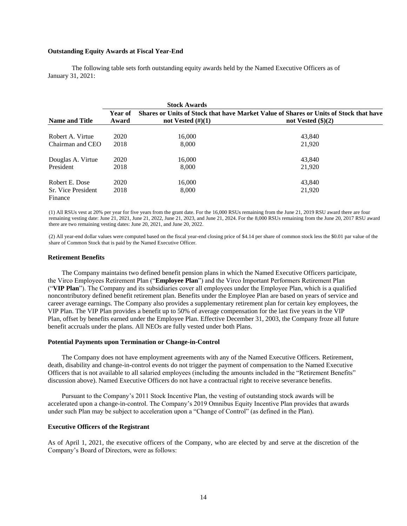#### **Outstanding Equity Awards at Fiscal Year-End**

The following table sets forth outstanding equity awards held by the Named Executive Officers as of January 31, 2021:

|                               |                                                                                                  | <b>Stock Awards</b>  |                             |  |  |  |  |
|-------------------------------|--------------------------------------------------------------------------------------------------|----------------------|-----------------------------|--|--|--|--|
|                               | Shares or Units of Stock that have Market Value of Shares or Units of Stock that have<br>Year of |                      |                             |  |  |  |  |
| <b>Name and Title</b>         | Award                                                                                            | not Vested $(\#)(1)$ | not Vested $(\text{$}0)(2)$ |  |  |  |  |
| Robert A. Virtue              | 2020                                                                                             | 16.000               | 43,840                      |  |  |  |  |
| Chairman and CEO              | 2018                                                                                             | 8,000                | 21,920                      |  |  |  |  |
| Douglas A. Virtue             | 2020                                                                                             | 16.000               | 43,840                      |  |  |  |  |
| President                     | 2018                                                                                             | 8,000                | 21,920                      |  |  |  |  |
| Robert E. Dose                | 2020                                                                                             | 16,000               | 43,840                      |  |  |  |  |
| Sr. Vice President<br>Finance | 2018                                                                                             | 8.000                | 21,920                      |  |  |  |  |

(1) All RSUs vest at 20% per year for five years from the grant date. For the 16,000 RSUs remaining from the June 21, 2019 RSU award there are four remaining vesting date: June 21, 2021, June 21, 2022, June 21, 2023, and June 21, 2024. For the 8,000 RSUs remaining from the June 20, 2017 RSU award there are two remaining vesting dates: June 20, 2021, and June 20, 2022.

(2) All year-end dollar values were computed based on the fiscal year-end closing price of \$4.14 per share of common stock less the \$0.01 par value of the share of Common Stock that is paid by the Named Executive Officer.

#### **Retirement Benefits**

The Company maintains two defined benefit pension plans in which the Named Executive Officers participate, the Virco Employees Retirement Plan ("**Employee Plan**") and the Virco Important Performers Retirement Plan ("**VIP Plan**"). The Company and its subsidiaries cover all employees under the Employee Plan, which is a qualified noncontributory defined benefit retirement plan. Benefits under the Employee Plan are based on years of service and career average earnings. The Company also provides a supplementary retirement plan for certain key employees, the VIP Plan. The VIP Plan provides a benefit up to 50% of average compensation for the last five years in the VIP Plan, offset by benefits earned under the Employee Plan. Effective December 31, 2003, the Company froze all future benefit accruals under the plans. All NEOs are fully vested under both Plans.

#### **Potential Payments upon Termination or Change-in-Control**

The Company does not have employment agreements with any of the Named Executive Officers. Retirement, death, disability and change-in-control events do not trigger the payment of compensation to the Named Executive Officers that is not available to all salaried employees (including the amounts included in the "Retirement Benefits" discussion above). Named Executive Officers do not have a contractual right to receive severance benefits.

Pursuant to the Company's 2011 Stock Incentive Plan, the vesting of outstanding stock awards will be accelerated upon a change-in-control. The Company's 2019 Omnibus Equity Incentive Plan provides that awards under such Plan may be subject to acceleration upon a "Change of Control" (as defined in the Plan).

## **Executive Officers of the Registrant**

As of April 1, 2021, the executive officers of the Company, who are elected by and serve at the discretion of the Company's Board of Directors, were as follows: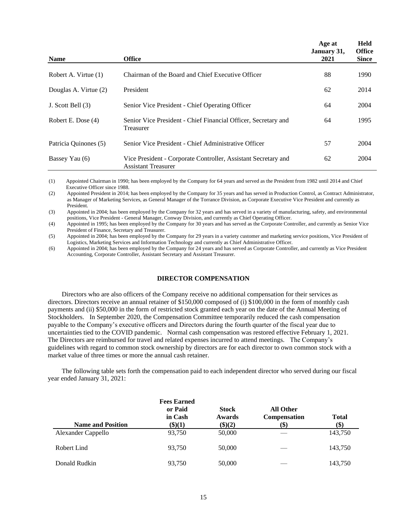|                       |                                                                                              | Age at<br>January 31, | <b>Held</b><br><b>Office</b> |
|-----------------------|----------------------------------------------------------------------------------------------|-----------------------|------------------------------|
| <b>Name</b>           | <b>Office</b>                                                                                | 2021                  | <b>Since</b>                 |
| Robert A. Virtue (1)  | Chairman of the Board and Chief Executive Officer                                            | 88                    | 1990                         |
| Douglas A. Virtue (2) | President                                                                                    | 62                    | 2014                         |
| J. Scott Bell (3)     | Senior Vice President - Chief Operating Officer                                              | 64                    | 2004                         |
| Robert E. Dose (4)    | Senior Vice President - Chief Financial Officer, Secretary and<br>Treasurer                  | 64                    | 1995                         |
| Patricia Quinones (5) | Senior Vice President - Chief Administrative Officer                                         | 57                    | 2004                         |
| Bassey Yau (6)        | Vice President - Corporate Controller, Assistant Secretary and<br><b>Assistant Treasurer</b> | 62                    | 2004                         |

(1) Appointed Chairman in 1990; has been employed by the Company for 64 years and served as the President from 1982 until 2014 and Chief Executive Officer since 1988.

(2) Appointed President in 2014; has been employed by the Company for 35 years and has served in Production Control, as Contract Administrator, as Manager of Marketing Services, as General Manager of the Torrance Division, as Corporate Executive Vice President and currently as President.

(3) Appointed in 2004; has been employed by the Company for 32 years and has served in a variety of manufacturing, safety, and environmental positions, Vice President - General Manager, Conway Division, and currently as Chief Operating Officer.

(4) Appointed in 1995; has been employed by the Company for 30 years and has served as the Corporate Controller, and currently as Senior Vice President of Finance, Secretary and Treasurer.

(5) Appointed in 2004; has been employed by the Company for 29 years in a variety customer and marketing service positions, Vice President of Logistics, Marketing Services and Information Technology and currently as Chief Administrative Officer.

(6) Appointed in 2004; has been employed by the Company for 24 years and has served as Corporate Controller, and currently as Vice President Accounting, Corporate Controller, Assistant Secretary and Assistant Treasurer.

## **DIRECTOR COMPENSATION**

Directors who are also officers of the Company receive no additional compensation for their services as directors. Directors receive an annual retainer of \$150,000 composed of (i) \$100,000 in the form of monthly cash payments and (ii) \$50,000 in the form of restricted stock granted each year on the date of the Annual Meeting of Stockholders. In September 2020, the Compensation Committee temporarily reduced the cash compensation payable to the Company's executive officers and Directors during the fourth quarter of the fiscal year due to uncertainties tied to the COVID pandemic. Normal cash compensation was restored effective February 1, 2021. The Directors are reimbursed for travel and related expenses incurred to attend meetings. The Company's guidelines with regard to common stock ownership by directors are for each director to own common stock with a market value of three times or more the annual cash retainer.

The following table sets forth the compensation paid to each independent director who served during our fiscal year ended January 31, 2021:

| <b>Name and Position</b> | <b>Fees Earned</b><br>or Paid<br>in Cash<br>\$)(1) | <b>Stock</b><br>Awards<br>\$)(2) | All Other<br>Compensation<br>(\$) | <b>Total</b><br>(\$) |
|--------------------------|----------------------------------------------------|----------------------------------|-----------------------------------|----------------------|
| Alexander Cappello       | 93,750                                             | 50,000                           |                                   | 143,750              |
| Robert Lind              | 93.750                                             | 50,000                           |                                   | 143,750              |
| Donald Rudkin            | 93,750                                             | 50,000                           |                                   | 143,750              |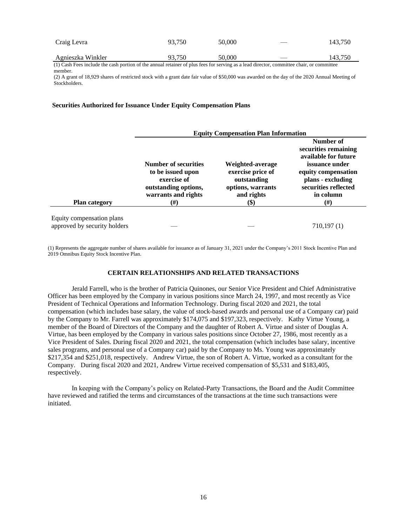| Craig Levra       | 93.750 | 50,000 | $\hspace{0.05cm}$        | 143,750 |
|-------------------|--------|--------|--------------------------|---------|
| Agnieszka Winkler | 93.750 | 50,000 | $\overline{\phantom{a}}$ | 143,750 |

(1) Cash Fees include the cash portion of the annual retainer of plus fees for serving as a lead director, committee chair, or committee member.

(2) A grant of 18,929 shares of restricted stock with a grant date fair value of \$50,000 was awarded on the day of the 2020 Annual Meeting of Stockholders.

## **Securities Authorized for Issuance Under Equity Compensation Plans**

|                                                           | <b>Equity Compensation Plan Information</b>                                                                           |                                                                                                 |                                                                                                                                                                                 |  |  |
|-----------------------------------------------------------|-----------------------------------------------------------------------------------------------------------------------|-------------------------------------------------------------------------------------------------|---------------------------------------------------------------------------------------------------------------------------------------------------------------------------------|--|--|
| <b>Plan category</b>                                      | <b>Number of securities</b><br>to be issued upon<br>exercise of<br>outstanding options,<br>warrants and rights<br>(#) | Weighted-average<br>exercise price of<br>outstanding<br>options, warrants<br>and rights<br>(\$) | Number of<br>securities remaining<br>available for future<br><i>issuance under</i><br>equity compensation<br>plans - excluding<br>securities reflected<br>in column<br>$^{(#)}$ |  |  |
| Equity compensation plans<br>approved by security holders |                                                                                                                       |                                                                                                 | 710,197(1)                                                                                                                                                                      |  |  |

(1) Represents the aggregate number of shares available for issuance as of January 31, 2021 under the Company's 2011 Stock Incentive Plan and 2019 Omnibus Equity Stock Incentive Plan.

## **CERTAIN RELATIONSHIPS AND RELATED TRANSACTIONS**

Jerald Farrell, who is the brother of Patricia Quinones, our Senior Vice President and Chief Administrative Officer has been employed by the Company in various positions since March 24, 1997, and most recently as Vice President of Technical Operations and Information Technology. During fiscal 2020 and 2021, the total compensation (which includes base salary, the value of stock-based awards and personal use of a Company car) paid by the Company to Mr. Farrell was approximately \$174,075 and \$197,323, respectively. Kathy Virtue Young, a member of the Board of Directors of the Company and the daughter of Robert A. Virtue and sister of Douglas A. Virtue, has been employed by the Company in various sales positions since October 27, 1986, most recently as a Vice President of Sales. During fiscal 2020 and 2021, the total compensation (which includes base salary, incentive sales programs, and personal use of a Company car) paid by the Company to Ms. Young was approximately \$217,354 and \$251,018, respectively. Andrew Virtue, the son of Robert A. Virtue, worked as a consultant for the Company. During fiscal 2020 and 2021, Andrew Virtue received compensation of \$5,531 and \$183,405, respectively.

In keeping with the Company's policy on Related-Party Transactions, the Board and the Audit Committee have reviewed and ratified the terms and circumstances of the transactions at the time such transactions were initiated.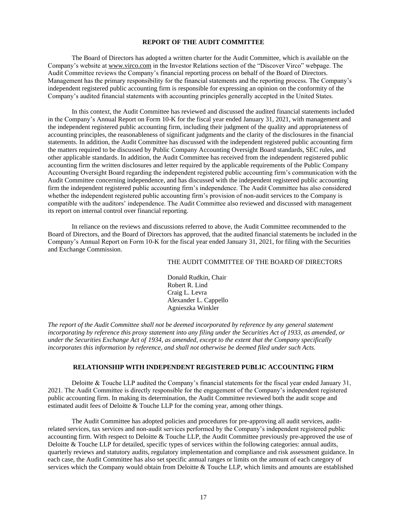#### **REPORT OF THE AUDIT COMMITTEE**

The Board of Directors has adopted a written charter for the Audit Committee, which is available on the Company's website at www.virco.com in the Investor Relations section of the "Discover Virco" webpage. The Audit Committee reviews the Company's financial reporting process on behalf of the Board of Directors. Management has the primary responsibility for the financial statements and the reporting process. The Company's independent registered public accounting firm is responsible for expressing an opinion on the conformity of the Company's audited financial statements with accounting principles generally accepted in the United States.

In this context, the Audit Committee has reviewed and discussed the audited financial statements included in the Company's Annual Report on Form 10-K for the fiscal year ended January 31, 2021, with management and the independent registered public accounting firm, including their judgment of the quality and appropriateness of accounting principles, the reasonableness of significant judgments and the clarity of the disclosures in the financial statements. In addition, the Audit Committee has discussed with the independent registered public accounting firm the matters required to be discussed by Public Company Accounting Oversight Board standards, SEC rules, and other applicable standards. In addition, the Audit Committee has received from the independent registered public accounting firm the written disclosures and letter required by the applicable requirements of the Public Company Accounting Oversight Board regarding the independent registered public accounting firm's communication with the Audit Committee concerning independence, and has discussed with the independent registered public accounting firm the independent registered public accounting firm's independence. The Audit Committee has also considered whether the independent registered public accounting firm's provision of non-audit services to the Company is compatible with the auditors' independence. The Audit Committee also reviewed and discussed with management its report on internal control over financial reporting.

In reliance on the reviews and discussions referred to above, the Audit Committee recommended to the Board of Directors, and the Board of Directors has approved, that the audited financial statements be included in the Company's Annual Report on Form 10-K for the fiscal year ended January 31, 2021, for filing with the Securities and Exchange Commission.

#### THE AUDIT COMMITTEE OF THE BOARD OF DIRECTORS

Donald Rudkin, Chair Robert R. Lind Craig L. Levra Alexander L. Cappello Agnieszka Winkler

*The report of the Audit Committee shall not be deemed incorporated by reference by any general statement incorporating by reference this proxy statement into any filing under the Securities Act of 1933, as amended, or under the Securities Exchange Act of 1934, as amended, except to the extent that the Company specifically incorporates this information by reference, and shall not otherwise be deemed filed under such Acts.*

## **RELATIONSHIP WITH INDEPENDENT REGISTERED PUBLIC ACCOUNTING FIRM**

Deloitte & Touche LLP audited the Company's financial statements for the fiscal year ended January 31, 2021. The Audit Committee is directly responsible for the engagement of the Company's independent registered public accounting firm. In making its determination, the Audit Committee reviewed both the audit scope and estimated audit fees of Deloitte & Touche LLP for the coming year, among other things.

The Audit Committee has adopted policies and procedures for pre-approving all audit services, auditrelated services, tax services and non-audit services performed by the Company's independent registered public accounting firm. With respect to Deloitte & Touche LLP, the Audit Committee previously pre-approved the use of Deloitte & Touche LLP for detailed, specific types of services within the following categories: annual audits, quarterly reviews and statutory audits, regulatory implementation and compliance and risk assessment guidance. In each case, the Audit Committee has also set specific annual ranges or limits on the amount of each category of services which the Company would obtain from Deloitte & Touche LLP, which limits and amounts are established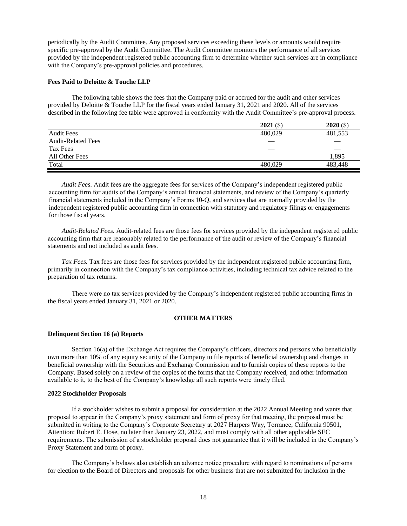periodically by the Audit Committee. Any proposed services exceeding these levels or amounts would require specific pre-approval by the Audit Committee. The Audit Committee monitors the performance of all services provided by the independent registered public accounting firm to determine whether such services are in compliance with the Company's pre-approval policies and procedures.

## **Fees Paid to Deloitte & Touche LLP**

The following table shows the fees that the Company paid or accrued for the audit and other services provided by Deloitte & Touche LLP for the fiscal years ended January 31, 2021 and 2020. All of the services described in the following fee table were approved in conformity with the Audit Committee's pre-approval process.

|                           | $2021($ \$) | $2020($ \$) |
|---------------------------|-------------|-------------|
| <b>Audit Fees</b>         | 480,029     | 481,553     |
| <b>Audit-Related Fees</b> | __          |             |
| Tax Fees                  |             |             |
| All Other Fees            |             | 1.895       |
| Total                     | 480,029     | 483.448     |

*Audit Fees.* Audit fees are the aggregate fees for services of the Company's independent registered public accounting firm for audits of the Company's annual financial statements, and review of the Company's quarterly financial statements included in the Company's Forms 10-Q, and services that are normally provided by the independent registered public accounting firm in connection with statutory and regulatory filings or engagements for those fiscal years.

*Audit-Related Fees.* Audit-related fees are those fees for services provided by the independent registered public accounting firm that are reasonably related to the performance of the audit or review of the Company's financial statements and not included as audit fees.

*Tax Fees.* Tax fees are those fees for services provided by the independent registered public accounting firm, primarily in connection with the Company's tax compliance activities, including technical tax advice related to the preparation of tax returns.

There were no tax services provided by the Company's independent registered public accounting firms in the fiscal years ended January 31, 2021 or 2020.

## **OTHER MATTERS**

#### **Delinquent Section 16 (a) Reports**

Section 16(a) of the Exchange Act requires the Company's officers, directors and persons who beneficially own more than 10% of any equity security of the Company to file reports of beneficial ownership and changes in beneficial ownership with the Securities and Exchange Commission and to furnish copies of these reports to the Company. Based solely on a review of the copies of the forms that the Company received, and other information available to it, to the best of the Company's knowledge all such reports were timely filed.

#### **2022 Stockholder Proposals**

If a stockholder wishes to submit a proposal for consideration at the 2022 Annual Meeting and wants that proposal to appear in the Company's proxy statement and form of proxy for that meeting, the proposal must be submitted in writing to the Company's Corporate Secretary at 2027 Harpers Way, Torrance, California 90501, Attention: Robert E. Dose, no later than January 23, 2022, and must comply with all other applicable SEC requirements. The submission of a stockholder proposal does not guarantee that it will be included in the Company's Proxy Statement and form of proxy.

The Company's bylaws also establish an advance notice procedure with regard to nominations of persons for election to the Board of Directors and proposals for other business that are not submitted for inclusion in the